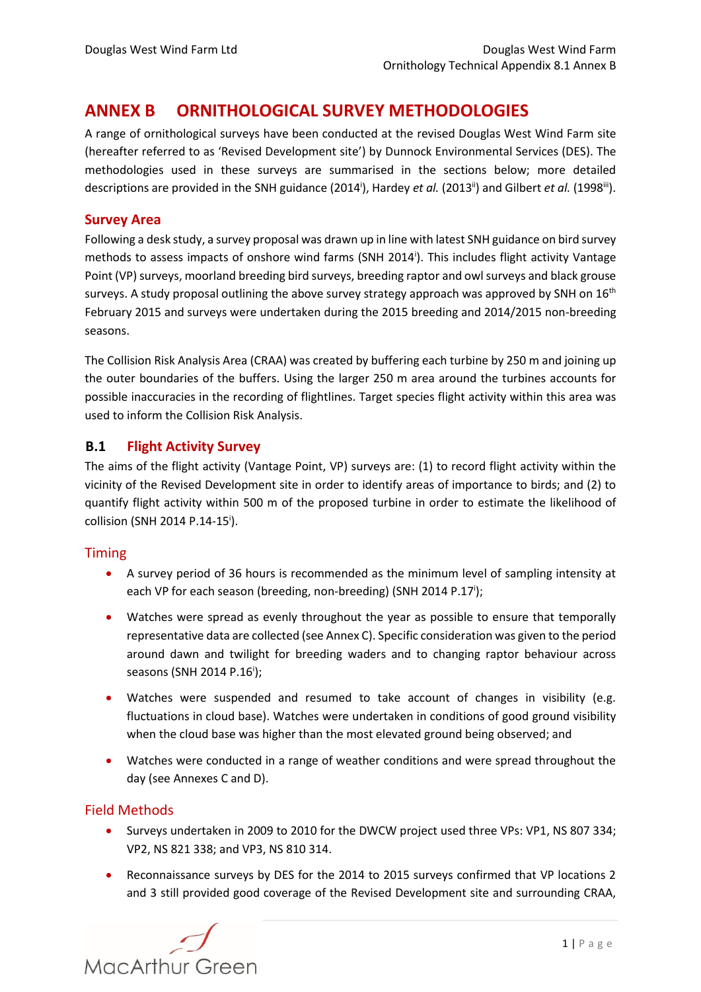# **ANNEX B ORNITHOLOGICAL SURVEY METHODOLOGIES**

A range of ornithological surveys have been conducted at the revised Douglas West Wind Farm site (hereafter referred to as 'Revised Development site') by Dunnock Environmental Services (DES). The methodologies used in these surveys are summarised in the sections below; more detailed descriptions are provided in the SNH guidance (2014<sup>i</sup>), Hardey *et al.* (2013<sup>ii</sup>) and Gilbert *et al.* (1998<sup>iii</sup>).

## <span id="page-0-2"></span><span id="page-0-1"></span><span id="page-0-0"></span>**Survey Area**

Following a desk study, a survey proposal was drawn up in line with latest SNH guidance on bird survey methods to assess impacts of onshore wind farms (SNH 2014<sup>i</sup>[\)](#page-0-0). This includes flight activity Vantage Point (VP) surveys, moorland breeding bird surveys, breeding raptor and owl surveys and black grouse surveys. A study proposal outlining the above survey strategy approach was approved by SNH on  $16<sup>th</sup>$ February 2015 and surveys were undertaken during the 2015 breeding and 2014/2015 non-breeding seasons.

The Collision Risk Analysis Area (CRAA) was created by buffering each turbine by 250 m and joining up the outer boundaries of the buffers. Using the larger 250 m area around the turbines accounts for possible inaccuracies in the recording of flightlines. Target species flight activity within this area was used to inform the Collision Risk Analysis.

# **B.1 Flight Activity Survey**

The aims of the flight activity (Vantage Point, VP) surveys are: (1) to record flight activity within the vicinity of the Revised Development site in order to identify areas of importance to birds; and (2) to quantify flight activity within 500 m of the proposed turbine in order to estimate the likelihood of collision (SNH 2014 P.14-15<sup>i</sup>[\)](#page-0-0).

## Timing

- A survey period of 36 hours is recommended as the minimum level of sampling intensity at each VP for each season (breeding, non-breeding) (SNH 2014 P.1[7](#page-0-0)<sup>i</sup>);
- Watches were spread as evenly throughout the year as possible to ensure that temporally representative data are collected (see Annex C). Specific consideration was given to the period around dawn and twilight for breeding waders and to changing raptor behaviour across seasons (SNH 2014 P.1[6](#page-0-0)<sup>i</sup>);
- Watches were suspended and resumed to take account of changes in visibility (e.g. fluctuations in cloud base). Watches were undertaken in conditions of good ground visibility when the cloud base was higher than the most elevated ground being observed; and
- Watches were conducted in a range of weather conditions and were spread throughout the day (see Annexes C and D).

## Field Methods

- Surveys undertaken in 2009 to 2010 for the DWCW project used three VPs: VP1, NS 807 334; VP2, NS 821 338; and VP3, NS 810 314.
- Reconnaissance surveys by DES for the 2014 to 2015 surveys confirmed that VP locations 2 and 3 still provided good coverage of the Revised Development site and surrounding CRAA,

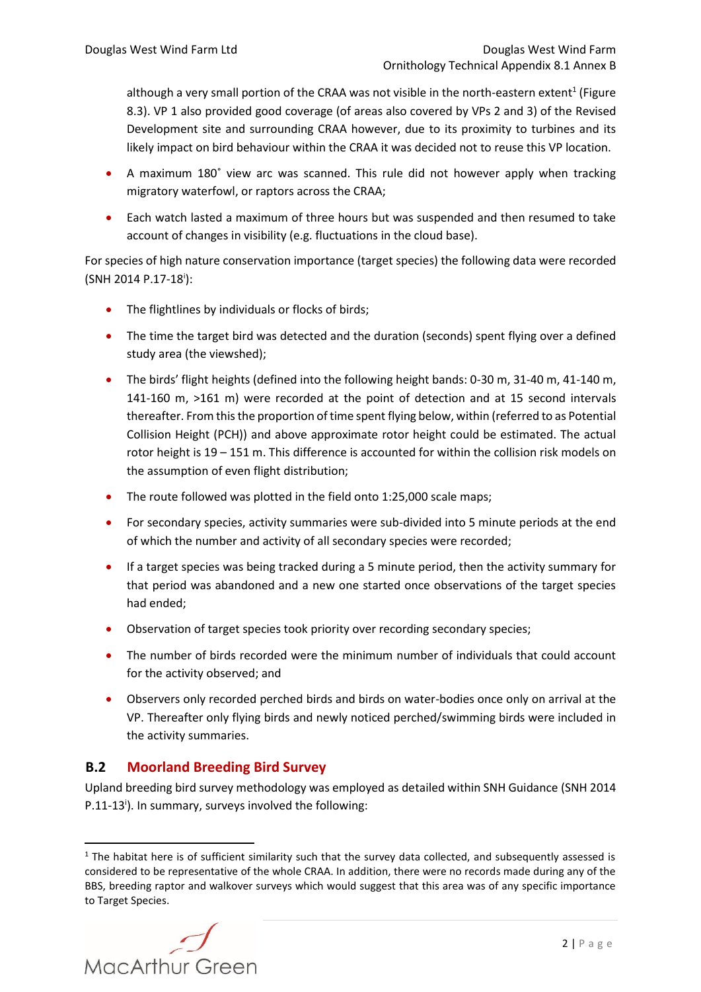although a very small portion of the CRAA was not visible in the north-eastern extent<sup>1</sup> (Figure 8.3). VP 1 also provided good coverage (of areas also covered by VPs 2 and 3) of the Revised Development site and surrounding CRAA however, due to its proximity to turbines and its likely impact on bird behaviour within the CRAA it was decided not to reuse this VP location.

- A maximum 180˚ view arc was scanned. This rule did not however apply when tracking migratory waterfowl, or raptors across the CRAA;
- Each watch lasted a maximum of three hours but was suspended and then resumed to take account of changes in visibility (e.g. fluctuations in the cloud base).

For species of high nature conservation importance (target species) the following data were recorded (SNH 2014 P.17-18<sup>i</sup>[\)](#page-0-0):

- The flightlines by individuals or flocks of birds;
- The time the target bird was detected and the duration (seconds) spent flying over a defined study area (the viewshed);
- The birds' flight heights (defined into the following height bands: 0-30 m, 31-40 m, 41-140 m, 141-160 m, >161 m) were recorded at the point of detection and at 15 second intervals thereafter. From this the proportion of time spent flying below, within (referred to as Potential Collision Height (PCH)) and above approximate rotor height could be estimated. The actual rotor height is 19 – 151 m. This difference is accounted for within the collision risk models on the assumption of even flight distribution;
- The route followed was plotted in the field onto 1:25,000 scale maps;
- For secondary species, activity summaries were sub-divided into 5 minute periods at the end of which the number and activity of all secondary species were recorded;
- If a target species was being tracked during a 5 minute period, then the activity summary for that period was abandoned and a new one started once observations of the target species had ended;
- Observation of target species took priority over recording secondary species;
- The number of birds recorded were the minimum number of individuals that could account for the activity observed; and
- Observers only recorded perched birds and birds on water-bodies once only on arrival at the VP. Thereafter only flying birds and newly noticed perched/swimming birds were included in the activity summaries.

# **B.2 Moorland Breeding Bird Survey**

Upland breeding bird survey methodology was employed as detailed within SNH Guidance (SNH 2014 P.11-13<sup>i</sup>[\)](#page-0-0). In summary, surveys involved the following:

 $1$  The habitat here is of sufficient similarity such that the survey data collected, and subsequently assessed is considered to be representative of the whole CRAA. In addition, there were no records made during any of the BBS, breeding raptor and walkover surveys which would suggest that this area was of any specific importance to Target Species.

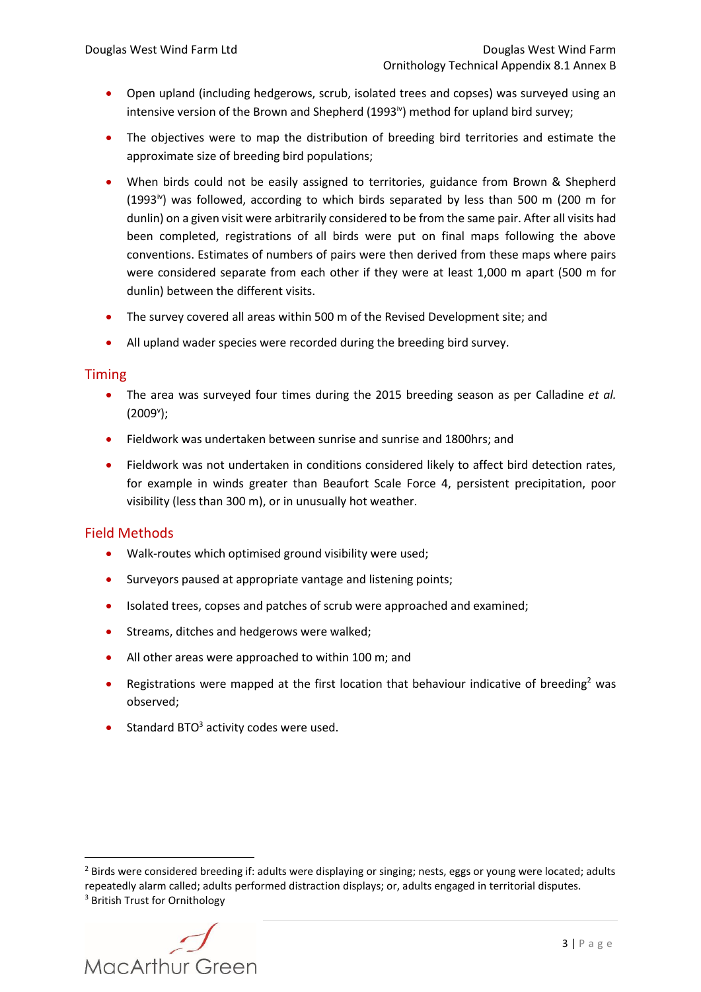- <span id="page-2-0"></span> Open upland (including hedgerows, scrub, isolated trees and copses) was surveyed using an intensive version of the Brown and Shepherd (1993 $\dot{v}$ ) method for upland bird survey;
- The objectives were to map the distribution of breeding bird territories and estimate the approximate size of breeding bird populations;
- When birds could not be easily assigned to territories, guidance from Brown & Shepherd  $(1993)$ <sup>[iv](#page-2-0)</sup>) was followed, according to which birds separated by less than 500 m (200 m for dunlin) on a given visit were arbitrarily considered to be from the same pair. After all visits had been completed, registrations of all birds were put on final maps following the above conventions. Estimates of numbers of pairs were then derived from these maps where pairs were considered separate from each other if they were at least 1,000 m apart (500 m for dunlin) between the different visits.
- The survey covered all areas within 500 m of the Revised Development site; and
- All upland wader species were recorded during the breeding bird survey.

#### Timing

- The area was surveyed four times during the 2015 breeding season as per Calladine *et al.* (2009<sup>v</sup>);
- Fieldwork was undertaken between sunrise and sunrise and 1800hrs; and
- Fieldwork was not undertaken in conditions considered likely to affect bird detection rates, for example in winds greater than Beaufort Scale Force 4, persistent precipitation, poor visibility (less than 300 m), or in unusually hot weather.

## Field Methods

- Walk-routes which optimised ground visibility were used;
- Surveyors paused at appropriate vantage and listening points;
- Isolated trees, copses and patches of scrub were approached and examined;
- **•** Streams, ditches and hedgerows were walked;
- All other areas were approached to within 100 m; and
- **•** Registrations were mapped at the first location that behaviour indicative of breeding<sup>2</sup> was observed;
- Standard BTO $3$  activity codes were used.

<sup>&</sup>lt;sup>2</sup> Birds were considered breeding if: adults were displaying or singing; nests, eggs or young were located; adults repeatedly alarm called; adults performed distraction displays; or, adults engaged in territorial disputes. <sup>3</sup> British Trust for Ornithology

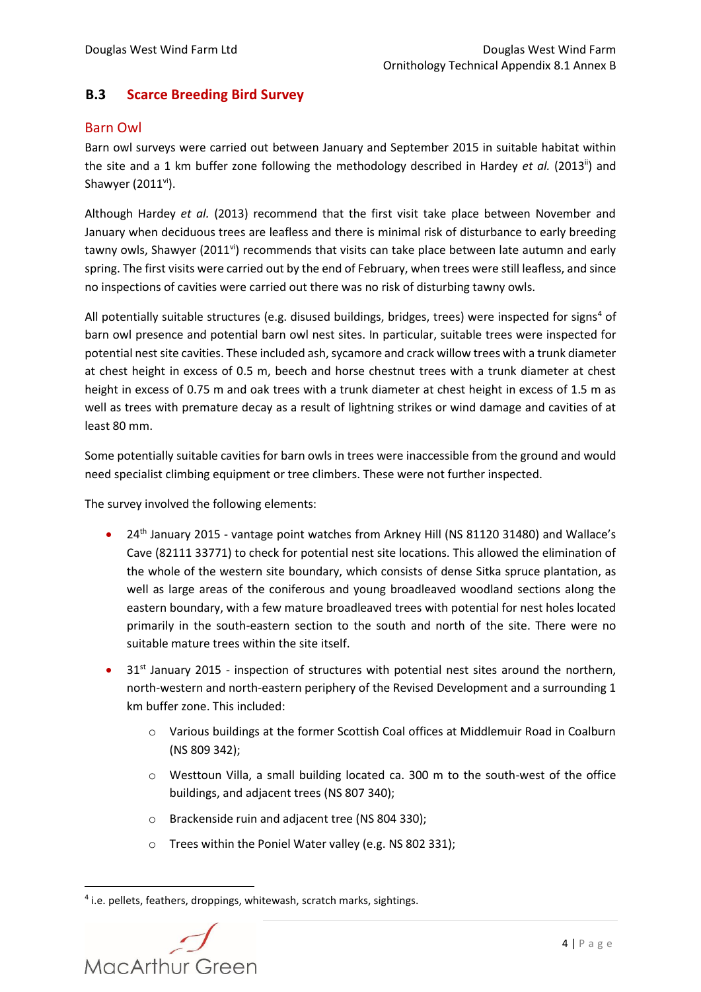# **B.3 Scarce Breeding Bird Survey**

## Barn Owl

Barn owl surveys were carried out between January and September 2015 in suitable habitat within the site and a 1 km buffer zone following the methodology described in Hardey *et al.* (201[3](#page-0-1)<sup>ii</sup>) and Shawyer  $(2011^{vi})$ .

<span id="page-3-0"></span>Although Hardey *et al.* (2013) recommend that the first visit take place between November and January when deciduous trees are leafless and there is minimal risk of disturbance to early breeding tawny owls, Shawyer (2011<sup>[vi](#page-3-0)</sup>) recommends that visits can take place between late autumn and early spring. The first visits were carried out by the end of February, when trees were still leafless, and since no inspections of cavities were carried out there was no risk of disturbing tawny owls.

All potentially suitable structures (e.g. disused buildings, bridges, trees) were inspected for signs<sup>4</sup> of barn owl presence and potential barn owl nest sites. In particular, suitable trees were inspected for potential nest site cavities. These included ash, sycamore and crack willow trees with a trunk diameter at chest height in excess of 0.5 m, beech and horse chestnut trees with a trunk diameter at chest height in excess of 0.75 m and oak trees with a trunk diameter at chest height in excess of 1.5 m as well as trees with premature decay as a result of lightning strikes or wind damage and cavities of at least 80 mm.

Some potentially suitable cavities for barn owls in trees were inaccessible from the ground and would need specialist climbing equipment or tree climbers. These were not further inspected.

The survey involved the following elements:

- 24<sup>th</sup> January 2015 vantage point watches from Arkney Hill (NS 81120 31480) and Wallace's Cave (82111 33771) to check for potential nest site locations. This allowed the elimination of the whole of the western site boundary, which consists of dense Sitka spruce plantation, as well as large areas of the coniferous and young broadleaved woodland sections along the eastern boundary, with a few mature broadleaved trees with potential for nest holes located primarily in the south-eastern section to the south and north of the site. There were no suitable mature trees within the site itself.
- 31<sup>st</sup> January 2015 inspection of structures with potential nest sites around the northern, north-western and north-eastern periphery of the Revised Development and a surrounding 1 km buffer zone. This included:
	- o Various buildings at the former Scottish Coal offices at Middlemuir Road in Coalburn (NS 809 342);
	- o Westtoun Villa, a small building located ca. 300 m to the south-west of the office buildings, and adjacent trees (NS 807 340);
	- o Brackenside ruin and adjacent tree (NS 804 330);
	- o Trees within the Poniel Water valley (e.g. NS 802 331);

<sup>4</sup> i.e. pellets, feathers, droppings, whitewash, scratch marks, sightings.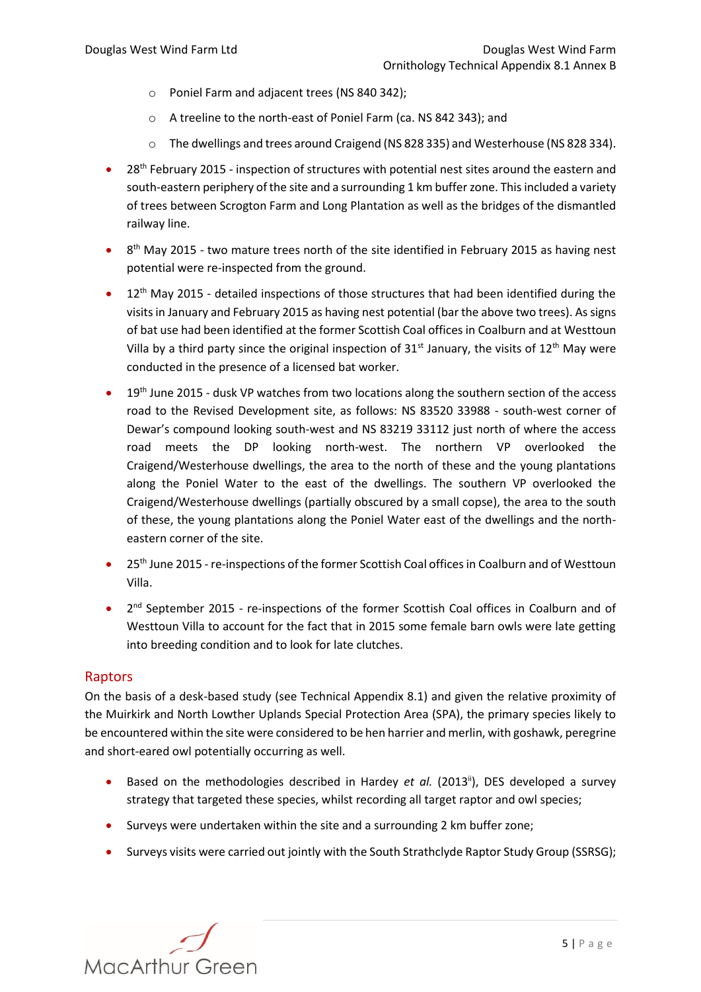- o Poniel Farm and adjacent trees (NS 840 342);
- o A treeline to the north-east of Poniel Farm (ca. NS 842 343); and
- o The dwellings and trees around Craigend (NS 828 335) and Westerhouse (NS 828 334).
- 28<sup>th</sup> February 2015 inspection of structures with potential nest sites around the eastern and south-eastern periphery of the site and a surrounding 1 km buffer zone. This included a variety of trees between Scrogton Farm and Long Plantation as well as the bridges of the dismantled railway line.
- $\bullet$  8<sup>th</sup> May 2015 two mature trees north of the site identified in February 2015 as having nest potential were re-inspected from the ground.
- $12<sup>th</sup>$  May 2015 detailed inspections of those structures that had been identified during the visits in January and February 2015 as having nest potential (bar the above two trees). As signs of bat use had been identified at the former Scottish Coal offices in Coalburn and at Westtoun Villa by a third party since the original inspection of  $31<sup>st</sup>$  January, the visits of  $12<sup>th</sup>$  May were conducted in the presence of a licensed bat worker.
- <sup>o</sup> 19<sup>th</sup> June 2015 dusk VP watches from two locations along the southern section of the access road to the Revised Development site, as follows: NS 83520 33988 - south-west corner of Dewar's compound looking south-west and NS 83219 33112 just north of where the access road meets the DP looking north-west. The northern VP overlooked the Craigend/Westerhouse dwellings, the area to the north of these and the young plantations along the Poniel Water to the east of the dwellings. The southern VP overlooked the Craigend/Westerhouse dwellings (partially obscured by a small copse), the area to the south of these, the young plantations along the Poniel Water east of the dwellings and the northeastern corner of the site.
- <sup>o</sup> 25<sup>th</sup> June 2015 re-inspections of the former Scottish Coal offices in Coalburn and of Westtoun Villa.
- 2<sup>nd</sup> September 2015 re-inspections of the former Scottish Coal offices in Coalburn and of Westtoun Villa to account for the fact that in 2015 some female barn owls were late getting into breeding condition and to look for late clutches.

## Raptors

On the basis of a desk-based study (see Technical Appendix 8.1) and given the relative proximity of the Muirkirk and North Lowther Uplands Special Protection Area (SPA), the primary species likely to be encountered within the site were considered to be hen harrier and merlin, with goshawk, peregrine and short-eared owl potentially occurring as well.

- **Based on the methodologies described in Hardey** *et al.* **(201[3](#page-0-1)<sup>ii</sup>), DES developed a survey** strategy that targeted these species, whilst recording all target raptor and owl species;
- Surveys were undertaken within the site and a surrounding 2 km buffer zone;
- Surveys visits were carried out jointly with the South Strathclyde Raptor Study Group (SSRSG);

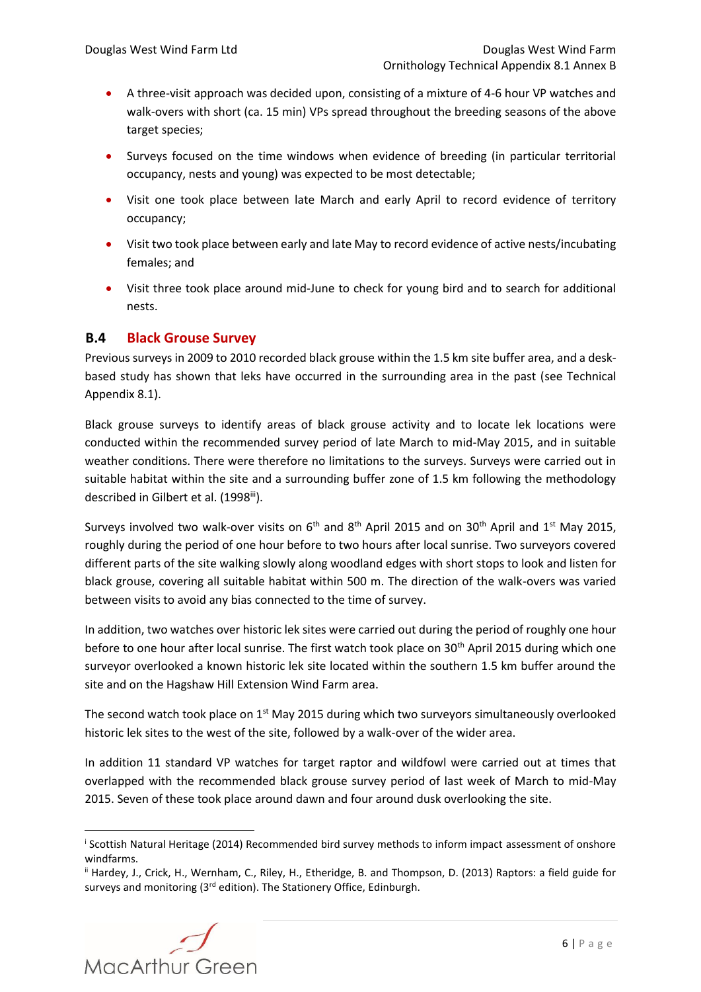- A three-visit approach was decided upon, consisting of a mixture of 4-6 hour VP watches and walk-overs with short (ca. 15 min) VPs spread throughout the breeding seasons of the above target species;
- Surveys focused on the time windows when evidence of breeding (in particular territorial occupancy, nests and young) was expected to be most detectable;
- Visit one took place between late March and early April to record evidence of territory occupancy;
- Visit two took place between early and late May to record evidence of active nests/incubating females; and
- Visit three took place around mid-June to check for young bird and to search for additional nests.

# **B.4 Black Grouse Survey**

Previous surveys in 2009 to 2010 recorded black grouse within the 1.5 km site buffer area, and a deskbased study has shown that leks have occurred in the surrounding area in the past (see Technical Appendix 8.1).

Black grouse surveys to identify areas of black grouse activity and to locate lek locations were conducted within the recommended survey period of late March to mid-May 2015, and in suitable weather conditions. There were therefore no limitations to the surveys. Surveys were carried out in suitable habitat within the site and a surrounding buffer zone of 1.5 km following the methodology described in Gilbert et al. (1998[iii](#page-0-2)).

Surveys involved two walk-over visits on  $6<sup>th</sup>$  and  $8<sup>th</sup>$  April 2015 and on 30<sup>th</sup> April and 1<sup>st</sup> May 2015, roughly during the period of one hour before to two hours after local sunrise. Two surveyors covered different parts of the site walking slowly along woodland edges with short stops to look and listen for black grouse, covering all suitable habitat within 500 m. The direction of the walk-overs was varied between visits to avoid any bias connected to the time of survey.

In addition, two watches over historic lek sites were carried out during the period of roughly one hour before to one hour after local sunrise. The first watch took place on 30<sup>th</sup> April 2015 during which one surveyor overlooked a known historic lek site located within the southern 1.5 km buffer around the site and on the Hagshaw Hill Extension Wind Farm area.

The second watch took place on 1<sup>st</sup> May 2015 during which two surveyors simultaneously overlooked historic lek sites to the west of the site, followed by a walk-over of the wider area.

In addition 11 standard VP watches for target raptor and wildfowl were carried out at times that overlapped with the recommended black grouse survey period of last week of March to mid-May 2015. Seven of these took place around dawn and four around dusk overlooking the site.

ii Hardey, J., Crick, H., Wernham, C., Riley, H., Etheridge, B. and Thompson, D. (2013) Raptors: a field guide for surveys and monitoring (3<sup>rd</sup> edition). The Stationery Office, Edinburgh.



i Scottish Natural Heritage (2014) Recommended bird survey methods to inform impact assessment of onshore windfarms.